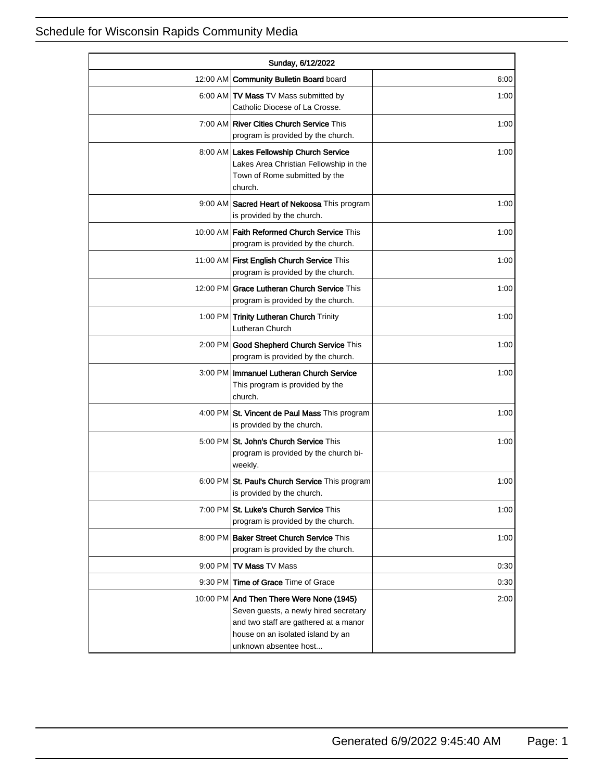| Sunday, 6/12/2022 |                                                                                                                                                                                          |      |
|-------------------|------------------------------------------------------------------------------------------------------------------------------------------------------------------------------------------|------|
|                   | 12:00 AM Community Bulletin Board board                                                                                                                                                  | 6:00 |
|                   | 6:00 AM TV Mass TV Mass submitted by<br>Catholic Diocese of La Crosse.                                                                                                                   | 1:00 |
|                   | 7:00 AM   River Cities Church Service This<br>program is provided by the church.                                                                                                         | 1:00 |
|                   | 8:00 AM Lakes Fellowship Church Service<br>Lakes Area Christian Fellowship in the<br>Town of Rome submitted by the<br>church.                                                            | 1:00 |
|                   | 9:00 AM Sacred Heart of Nekoosa This program<br>is provided by the church.                                                                                                               | 1:00 |
|                   | 10:00 AM   Faith Reformed Church Service This<br>program is provided by the church.                                                                                                      | 1:00 |
|                   | 11:00 AM First English Church Service This<br>program is provided by the church.                                                                                                         | 1:00 |
|                   | 12:00 PM Grace Lutheran Church Service This<br>program is provided by the church.                                                                                                        | 1:00 |
|                   | 1:00 PM Trinity Lutheran Church Trinity<br>Lutheran Church                                                                                                                               | 1:00 |
|                   | 2:00 PM Good Shepherd Church Service This<br>program is provided by the church.                                                                                                          | 1:00 |
|                   | 3:00 PM   Immanuel Lutheran Church Service<br>This program is provided by the<br>church.                                                                                                 | 1:00 |
|                   | 4:00 PM St. Vincent de Paul Mass This program<br>is provided by the church.                                                                                                              | 1:00 |
|                   | 5:00 PM St. John's Church Service This<br>program is provided by the church bi-<br>weekly.                                                                                               | 1:00 |
|                   | 6:00 PM St. Paul's Church Service This program<br>is provided by the church.                                                                                                             | 1:00 |
|                   | 7:00 PM St. Luke's Church Service This<br>program is provided by the church.                                                                                                             | 1:00 |
|                   | 8:00 PM Baker Street Church Service This<br>program is provided by the church.                                                                                                           | 1:00 |
|                   | 9:00 PM TV Mass TV Mass                                                                                                                                                                  | 0:30 |
|                   | 9:30 PM Time of Grace Time of Grace                                                                                                                                                      | 0:30 |
|                   | 10:00 PM And Then There Were None (1945)<br>Seven guests, a newly hired secretary<br>and two staff are gathered at a manor<br>house on an isolated island by an<br>unknown absentee host | 2:00 |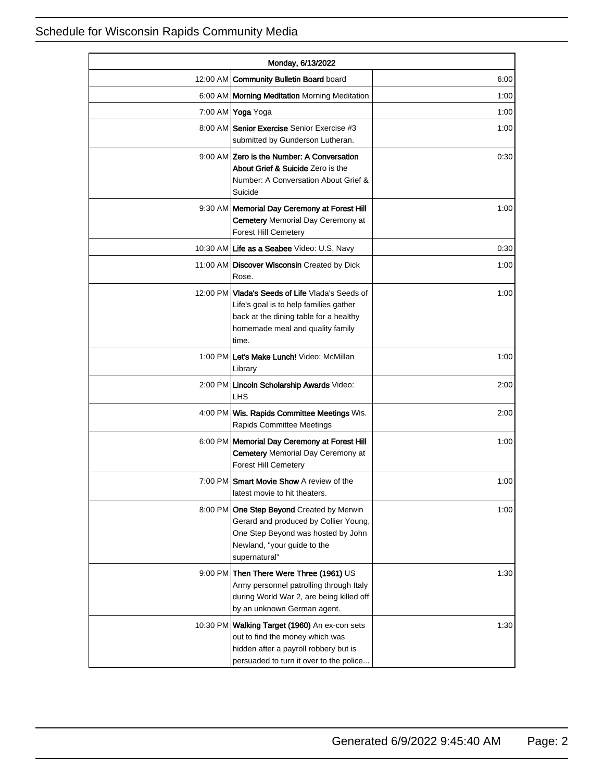| Monday, 6/13/2022 |                                                                                                                                                                                  |      |
|-------------------|----------------------------------------------------------------------------------------------------------------------------------------------------------------------------------|------|
|                   | 12:00 AM   Community Bulletin Board board                                                                                                                                        | 6:00 |
|                   | 6:00 AM   Morning Meditation Morning Meditation                                                                                                                                  | 1:00 |
|                   | 7:00 AM Yoga Yoga                                                                                                                                                                | 1:00 |
|                   | 8:00 AM Senior Exercise Senior Exercise #3<br>submitted by Gunderson Lutheran.                                                                                                   | 1:00 |
|                   | 9:00 AM Zero is the Number: A Conversation<br>About Grief & Suicide Zero is the<br>Number: A Conversation About Grief &<br>Suicide                                               | 0:30 |
|                   | 9:30 AM   Memorial Day Ceremony at Forest Hill<br><b>Cemetery Memorial Day Ceremony at</b><br>Forest Hill Cemetery                                                               | 1:00 |
|                   | 10:30 AM Life as a Seabee Video: U.S. Navy                                                                                                                                       | 0:30 |
|                   | 11:00 AM Discover Wisconsin Created by Dick<br>Rose.                                                                                                                             | 1:00 |
|                   | 12:00 PM Vlada's Seeds of Life Vlada's Seeds of<br>Life's goal is to help families gather<br>back at the dining table for a healthy<br>homemade meal and quality family<br>time. | 1:00 |
|                   | 1:00 PM Let's Make Lunch! Video: McMillan<br>Library                                                                                                                             | 1:00 |
|                   | 2:00 PM Lincoln Scholarship Awards Video:<br>LHS.                                                                                                                                | 2:00 |
|                   | 4:00 PM   Wis. Rapids Committee Meetings Wis.<br><b>Rapids Committee Meetings</b>                                                                                                | 2:00 |
|                   | 6:00 PM   Memorial Day Ceremony at Forest Hill<br><b>Cemetery Memorial Day Ceremony at</b><br><b>Forest Hill Cemetery</b>                                                        | 1:00 |
| 7:00 PM           | <b>Smart Movie Show A review of the</b><br>latest movie to hit theaters.                                                                                                         | 1:00 |
|                   | 8:00 PM One Step Beyond Created by Merwin<br>Gerard and produced by Collier Young,<br>One Step Beyond was hosted by John<br>Newland, "your guide to the<br>supernatural"         | 1:00 |
|                   | 9:00 PM Then There Were Three (1961) US<br>Army personnel patrolling through Italy<br>during World War 2, are being killed off<br>by an unknown German agent.                    | 1:30 |
| 10:30 PM          | Walking Target (1960) An ex-con sets<br>out to find the money which was<br>hidden after a payroll robbery but is<br>persuaded to turn it over to the police                      | 1:30 |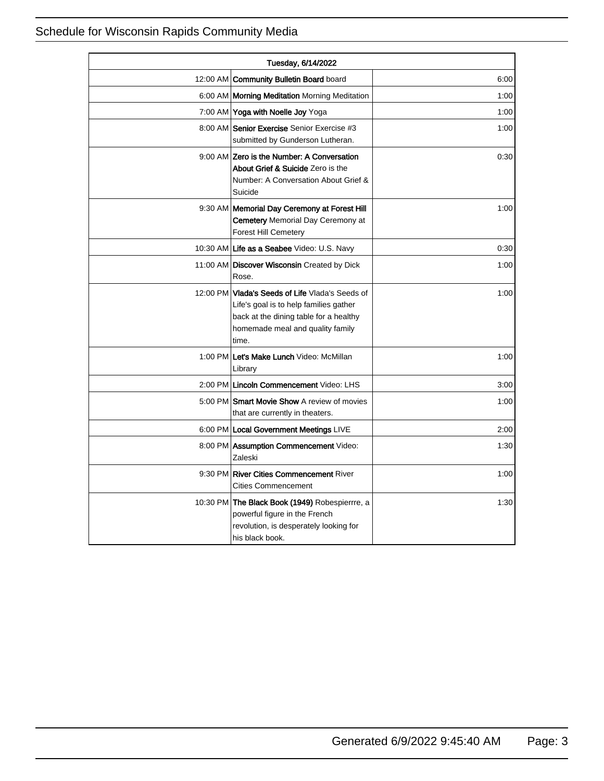| Tuesday, 6/14/2022 |                                                                                                                                                                                  |      |
|--------------------|----------------------------------------------------------------------------------------------------------------------------------------------------------------------------------|------|
|                    | 12:00 AM   Community Bulletin Board board                                                                                                                                        | 6:00 |
|                    | 6:00 AM   Morning Meditation Morning Meditation                                                                                                                                  | 1:00 |
|                    | 7:00 AM Yoga with Noelle Joy Yoga                                                                                                                                                | 1:00 |
|                    | 8:00 AM Senior Exercise Senior Exercise #3<br>submitted by Gunderson Lutheran.                                                                                                   | 1:00 |
|                    | 9:00 AM Zero is the Number: A Conversation<br>About Grief & Suicide Zero is the<br>Number: A Conversation About Grief &<br>Suicide                                               | 0:30 |
|                    | 9:30 AM   Memorial Day Ceremony at Forest Hill<br><b>Cemetery Memorial Day Ceremony at</b><br><b>Forest Hill Cemetery</b>                                                        | 1:00 |
|                    | 10:30 AM Life as a Seabee Video: U.S. Navy                                                                                                                                       | 0:30 |
|                    | 11:00 AM Discover Wisconsin Created by Dick<br>Rose.                                                                                                                             | 1:00 |
|                    | 12:00 PM Vlada's Seeds of Life Vlada's Seeds of<br>Life's goal is to help families gather<br>back at the dining table for a healthy<br>homemade meal and quality family<br>time. | 1:00 |
|                    | 1:00 PM Let's Make Lunch Video: McMillan<br>Library                                                                                                                              | 1:00 |
|                    | 2:00 PM Lincoln Commencement Video: LHS                                                                                                                                          | 3:00 |
|                    | 5:00 PM Smart Movie Show A review of movies<br>that are currently in theaters.                                                                                                   | 1:00 |
|                    | 6:00 PM   Local Government Meetings LIVE                                                                                                                                         | 2:00 |
|                    | 8:00 PM Assumption Commencement Video:<br>Zaleski                                                                                                                                | 1:30 |
|                    | 9:30 PM River Cities Commencement River<br><b>Cities Commencement</b>                                                                                                            | 1:00 |
|                    | 10:30 PM The Black Book (1949) Robespierrre, a<br>powerful figure in the French<br>revolution, is desperately looking for<br>his black book.                                     | 1:30 |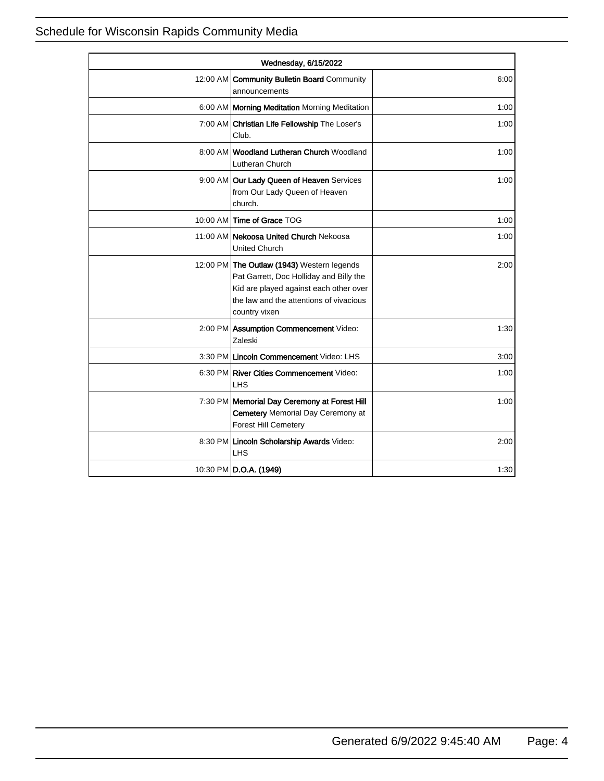| Wednesday, 6/15/2022 |                                                                                                                                                                                             |      |
|----------------------|---------------------------------------------------------------------------------------------------------------------------------------------------------------------------------------------|------|
|                      | 12:00 AM Community Bulletin Board Community<br>announcements                                                                                                                                | 6:00 |
|                      | 6:00 AM   Morning Meditation Morning Meditation                                                                                                                                             | 1:00 |
|                      | 7:00 AM Christian Life Fellowship The Loser's<br>Club.                                                                                                                                      | 1:00 |
|                      | 8:00 AM Woodland Lutheran Church Woodland<br>Lutheran Church                                                                                                                                | 1:00 |
|                      | 9:00 AM Our Lady Queen of Heaven Services<br>from Our Lady Queen of Heaven<br>church.                                                                                                       | 1:00 |
|                      | 10:00 AM Time of Grace TOG                                                                                                                                                                  | 1:00 |
|                      | 11:00 AM Nekoosa United Church Nekoosa<br><b>United Church</b>                                                                                                                              | 1:00 |
|                      | 12:00 PM The Outlaw (1943) Western legends<br>Pat Garrett, Doc Holliday and Billy the<br>Kid are played against each other over<br>the law and the attentions of vivacious<br>country vixen | 2:00 |
|                      | 2:00 PM Assumption Commencement Video:<br>Zaleski                                                                                                                                           | 1:30 |
|                      | 3:30 PM Lincoln Commencement Video: LHS                                                                                                                                                     | 3:00 |
|                      | 6:30 PM River Cities Commencement Video:<br><b>LHS</b>                                                                                                                                      | 1:00 |
|                      | 7:30 PM Memorial Day Ceremony at Forest Hill<br><b>Cemetery Memorial Day Ceremony at</b><br><b>Forest Hill Cemetery</b>                                                                     | 1:00 |
|                      | 8:30 PM Lincoln Scholarship Awards Video:<br><b>LHS</b>                                                                                                                                     | 2:00 |
|                      | 10:30 PM D.O.A. (1949)                                                                                                                                                                      | 1:30 |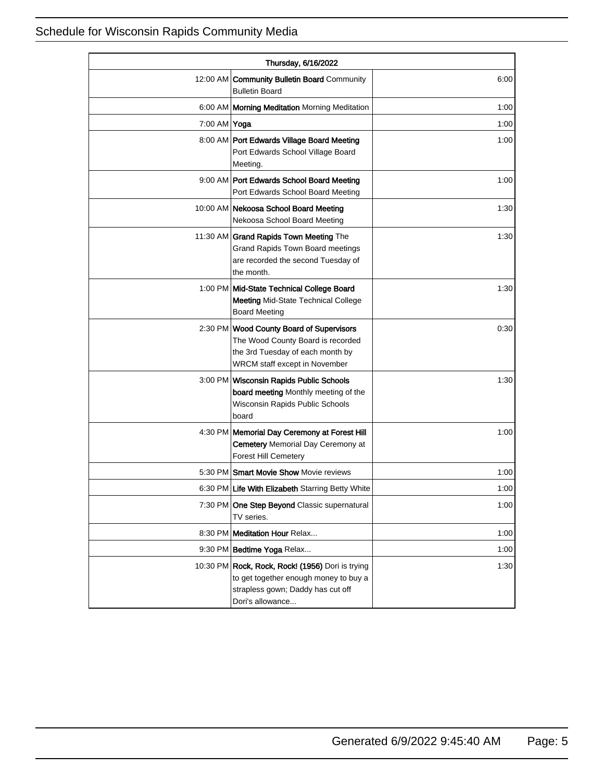| Thursday, 6/16/2022 |                                                                                                                                                    |      |
|---------------------|----------------------------------------------------------------------------------------------------------------------------------------------------|------|
|                     | 12:00 AM Community Bulletin Board Community<br><b>Bulletin Board</b>                                                                               | 6:00 |
|                     | 6:00 AM   Morning Meditation Morning Meditation                                                                                                    | 1:00 |
| 7:00 AM Yoga        |                                                                                                                                                    | 1:00 |
|                     | 8:00 AM Port Edwards Village Board Meeting<br>Port Edwards School Village Board<br>Meeting.                                                        | 1:00 |
|                     | 9:00 AM Port Edwards School Board Meeting<br>Port Edwards School Board Meeting                                                                     | 1:00 |
|                     | 10:00 AM Nekoosa School Board Meeting<br>Nekoosa School Board Meeting                                                                              | 1:30 |
|                     | 11:30 AM Grand Rapids Town Meeting The<br>Grand Rapids Town Board meetings<br>are recorded the second Tuesday of<br>the month.                     | 1:30 |
|                     | 1:00 PM Mid-State Technical College Board<br><b>Meeting Mid-State Technical College</b><br><b>Board Meeting</b>                                    | 1:30 |
|                     | 2:30 PM Wood County Board of Supervisors<br>The Wood County Board is recorded<br>the 3rd Tuesday of each month by<br>WRCM staff except in November | 0:30 |
|                     | 3:00 PM Wisconsin Rapids Public Schools<br>board meeting Monthly meeting of the<br>Wisconsin Rapids Public Schools<br>board                        | 1:30 |
|                     | 4:30 PM   Memorial Day Ceremony at Forest Hill<br><b>Cemetery Memorial Day Ceremony at</b><br><b>Forest Hill Cemetery</b>                          | 1:00 |
|                     | 5:30 PM Smart Movie Show Movie reviews                                                                                                             | 1:00 |
|                     | 6:30 PM Life With Elizabeth Starring Betty White                                                                                                   | 1:00 |
|                     | 7:30 PM One Step Beyond Classic supernatural<br>TV series.                                                                                         | 1:00 |
|                     | 8:30 PM Meditation Hour Relax                                                                                                                      | 1:00 |
|                     | 9:30 PM Bedtime Yoga Relax                                                                                                                         | 1:00 |
|                     | 10:30 PM Rock, Rock, Rock! (1956) Dori is trying<br>to get together enough money to buy a<br>strapless gown; Daddy has cut off<br>Dori's allowance | 1:30 |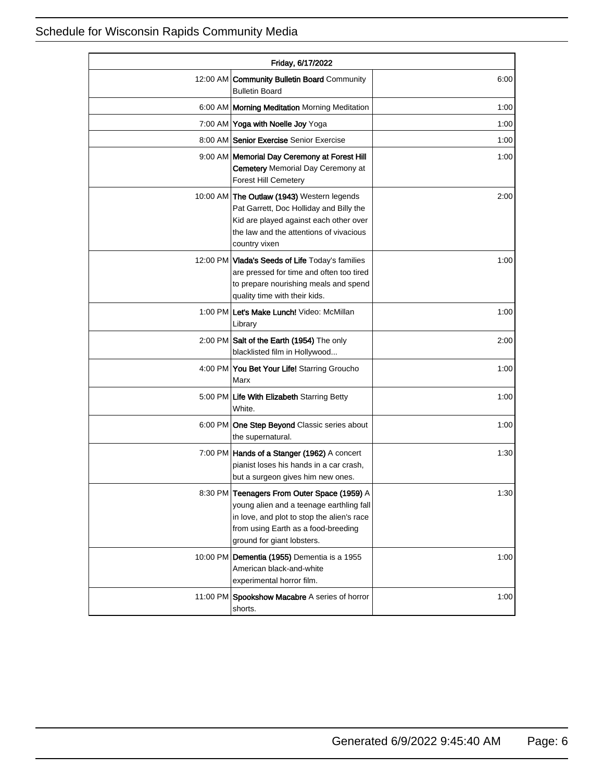| Friday, 6/17/2022 |                                                                                                                                                                                                            |      |
|-------------------|------------------------------------------------------------------------------------------------------------------------------------------------------------------------------------------------------------|------|
| 12:00 AM          | <b>Community Bulletin Board Community</b><br><b>Bulletin Board</b>                                                                                                                                         | 6:00 |
|                   | 6:00 AM   Morning Meditation Morning Meditation                                                                                                                                                            | 1:00 |
|                   | 7:00 AM Yoga with Noelle Joy Yoga                                                                                                                                                                          | 1:00 |
|                   | 8:00 AM Senior Exercise Senior Exercise                                                                                                                                                                    | 1:00 |
|                   | 9:00 AM   Memorial Day Ceremony at Forest Hill<br><b>Cemetery Memorial Day Ceremony at</b><br><b>Forest Hill Cemetery</b>                                                                                  | 1:00 |
|                   | 10:00 AM The Outlaw (1943) Western legends<br>Pat Garrett, Doc Holliday and Billy the<br>Kid are played against each other over<br>the law and the attentions of vivacious<br>country vixen                | 2:00 |
|                   | 12:00 PM Vlada's Seeds of Life Today's families<br>are pressed for time and often too tired<br>to prepare nourishing meals and spend<br>quality time with their kids.                                      | 1:00 |
|                   | 1:00 PM Let's Make Lunch! Video: McMillan<br>Library                                                                                                                                                       | 1:00 |
|                   | 2:00 PM Salt of the Earth (1954) The only<br>blacklisted film in Hollywood                                                                                                                                 | 2:00 |
|                   | 4:00 PM You Bet Your Life! Starring Groucho<br>Marx                                                                                                                                                        | 1:00 |
|                   | 5:00 PM Life With Elizabeth Starring Betty<br>White.                                                                                                                                                       | 1:00 |
|                   | 6:00 PM One Step Beyond Classic series about<br>the supernatural.                                                                                                                                          | 1:00 |
|                   | 7:00 PM   Hands of a Stanger (1962) A concert<br>pianist loses his hands in a car crash,<br>but a surgeon gives him new ones.                                                                              | 1:30 |
|                   | 8:30 PM Teenagers From Outer Space (1959) A<br>young alien and a teenage earthling fall<br>in love, and plot to stop the alien's race<br>from using Earth as a food-breeding<br>ground for giant lobsters. | 1:30 |
|                   | 10:00 PM Dementia (1955) Dementia is a 1955<br>American black-and-white<br>experimental horror film.                                                                                                       | 1:00 |
|                   | 11:00 PM Spookshow Macabre A series of horror<br>shorts.                                                                                                                                                   | 1:00 |